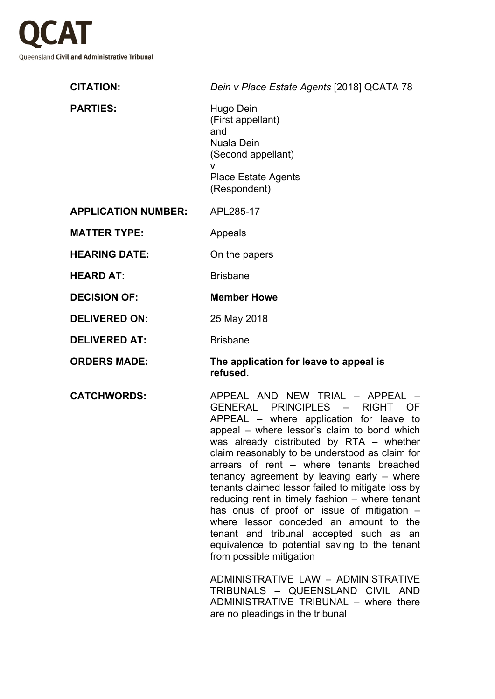

| <b>CITATION:</b>           | Dein v Place Estate Agents [2018] QCATA 78                                                                                                                                                                                                                                                                                                                                                              |
|----------------------------|---------------------------------------------------------------------------------------------------------------------------------------------------------------------------------------------------------------------------------------------------------------------------------------------------------------------------------------------------------------------------------------------------------|
| <b>PARTIES:</b>            | Hugo Dein<br>(First appellant)<br>and<br><b>Nuala Dein</b><br>(Second appellant)<br>v<br><b>Place Estate Agents</b><br>(Respondent)                                                                                                                                                                                                                                                                     |
| <b>APPLICATION NUMBER:</b> | APL285-17                                                                                                                                                                                                                                                                                                                                                                                               |
| <b>MATTER TYPE:</b>        | Appeals                                                                                                                                                                                                                                                                                                                                                                                                 |
| <b>HEARING DATE:</b>       | On the papers                                                                                                                                                                                                                                                                                                                                                                                           |
| <b>HEARD AT:</b>           | <b>Brisbane</b>                                                                                                                                                                                                                                                                                                                                                                                         |
| <b>DECISION OF:</b>        | <b>Member Howe</b>                                                                                                                                                                                                                                                                                                                                                                                      |
| <b>DELIVERED ON:</b>       | 25 May 2018                                                                                                                                                                                                                                                                                                                                                                                             |
| <b>DELIVERED AT:</b>       | <b>Brisbane</b>                                                                                                                                                                                                                                                                                                                                                                                         |
| <b>ORDERS MADE:</b>        | The application for leave to appeal is<br>refused.                                                                                                                                                                                                                                                                                                                                                      |
| <b>CATCHWORDS:</b>         | APPEAL AND NEW TRIAL - APPEAL<br>GENERAL PRINCIPLES - RIGHT OF<br>APPEAL - where application for leave to<br>appeal – where lessor's claim to bond which<br>was already distributed by RTA - whether<br>claim reasonably to be understood as claim for<br>arrears of rent - where tenants breached<br>tenancy agreement by leaving early $-$ where<br>tenants claimed lessor failed to mitigate loss by |

appeal – where lessor's claim to bond which was already distributed by RTA – whether claim reasonably to be understood as claim for arrears of rent – where tenants breached tenancy agreement by leaving early – where tenants claimed lessor failed to mitigate loss by reducing rent in timely fashion – where tenant has onus of proof on issue of mitigation  $$ where lessor conceded an amount to the tenant and tribunal accepted such as an equivalence to potential saving to the tenant from possible mitigation

ADMINISTRATIVE LAW – ADMINISTRATIVE TRIBUNALS – QUEENSLAND CIVIL AND ADMINISTRATIVE TRIBUNAL – where there are no pleadings in the tribunal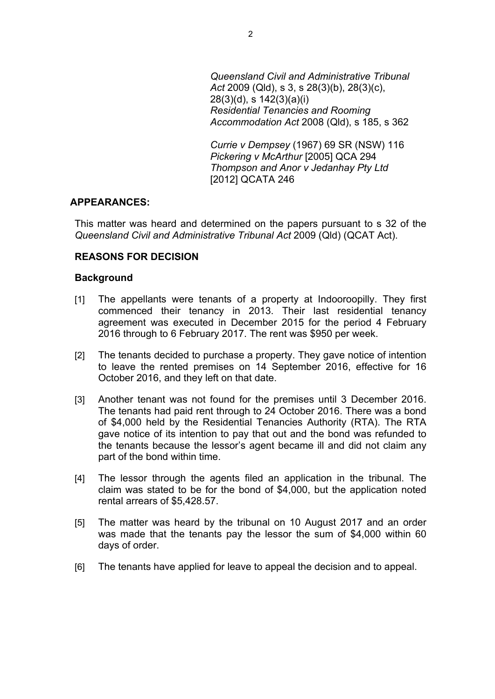*Queensland Civil and Administrative Tribunal Act* 2009 (Qld), s 3, s 28(3)(b), 28(3)(c), 28(3)(d), s 142(3)(a)(i) *Residential Tenancies and Rooming Accommodation Act* 2008 (Qld), s 185, s 362

*Currie v Dempsey* (1967) 69 SR (NSW) 116 *Pickering v McArthur* [2005] QCA 294 *Thompson and Anor v Jedanhay Pty Ltd* [2012] QCATA 246

### **APPEARANCES:**

This matter was heard and determined on the papers pursuant to s 32 of the *Queensland Civil and Administrative Tribunal Act* 2009 (Qld) (QCAT Act).

# **REASONS FOR DECISION**

#### **Background**

- [1] The appellants were tenants of a property at Indooroopilly. They first commenced their tenancy in 2013. Their last residential tenancy agreement was executed in December 2015 for the period 4 February 2016 through to 6 February 2017. The rent was \$950 per week.
- [2] The tenants decided to purchase a property. They gave notice of intention to leave the rented premises on 14 September 2016, effective for 16 October 2016, and they left on that date.
- [3] Another tenant was not found for the premises until 3 December 2016. The tenants had paid rent through to 24 October 2016. There was a bond of \$4,000 held by the Residential Tenancies Authority (RTA). The RTA gave notice of its intention to pay that out and the bond was refunded to the tenants because the lessor's agent became ill and did not claim any part of the bond within time.
- [4] The lessor through the agents filed an application in the tribunal. The claim was stated to be for the bond of \$4,000, but the application noted rental arrears of \$5,428.57.
- [5] The matter was heard by the tribunal on 10 August 2017 and an order was made that the tenants pay the lessor the sum of \$4,000 within 60 days of order.
- [6] The tenants have applied for leave to appeal the decision and to appeal.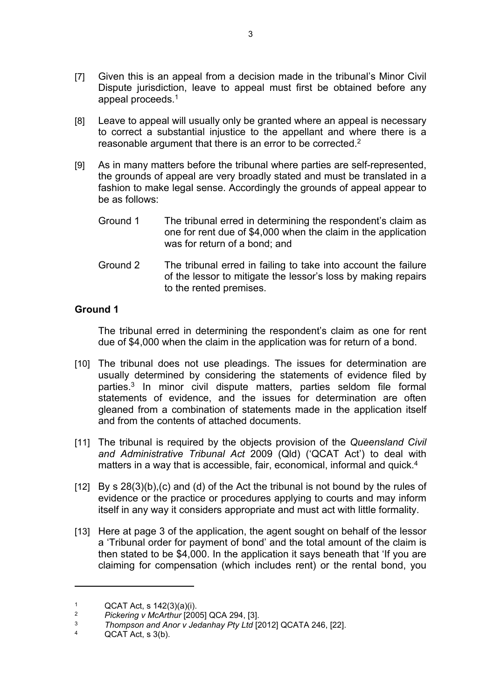- [7] Given this is an appeal from a decision made in the tribunal's Minor Civil Dispute jurisdiction, leave to appeal must first be obtained before any appeal proceeds.<sup>1</sup>
- [8] Leave to appeal will usually only be granted where an appeal is necessary to correct a substantial injustice to the appellant and where there is a reasonable argument that there is an error to be corrected.<sup>2</sup>
- [9] As in many matters before the tribunal where parties are self-represented, the grounds of appeal are very broadly stated and must be translated in a fashion to make legal sense. Accordingly the grounds of appeal appear to be as follows:
	- Ground 1 The tribunal erred in determining the respondent's claim as one for rent due of \$4,000 when the claim in the application was for return of a bond; and
	- Ground 2 The tribunal erred in failing to take into account the failure of the lessor to mitigate the lessor's loss by making repairs to the rented premises.

## **Ground 1**

The tribunal erred in determining the respondent's claim as one for rent due of \$4,000 when the claim in the application was for return of a bond.

- [10] The tribunal does not use pleadings. The issues for determination are usually determined by considering the statements of evidence filed by parties.<sup>3</sup> In minor civil dispute matters, parties seldom file formal statements of evidence, and the issues for determination are often gleaned from a combination of statements made in the application itself and from the contents of attached documents.
- [11] The tribunal is required by the objects provision of the *Queensland Civil and Administrative Tribunal Act* 2009 (Qld) ('QCAT Act') to deal with matters in a way that is accessible, fair, economical, informal and quick.<sup>4</sup>
- $[12]$  By s  $28(3)(b)$ , (c) and (d) of the Act the tribunal is not bound by the rules of evidence or the practice or procedures applying to courts and may inform itself in any way it considers appropriate and must act with little formality.
- [13] Here at page 3 of the application, the agent sought on behalf of the lessor a 'Tribunal order for payment of bond' and the total amount of the claim is then stated to be \$4,000. In the application it says beneath that 'If you are claiming for compensation (which includes rent) or the rental bond, you

<sup>1</sup>  $QCAT Act$ , s  $142(3)(a)(i)$ .

<sup>2</sup> *Pickering v McArthur* [2005] QCA 294, [3].

<sup>3</sup> *Thompson and Anor v Jedanhay Pty Ltd* [2012] QCATA 246, [22].

<sup>4</sup> QCAT Act, s 3(b).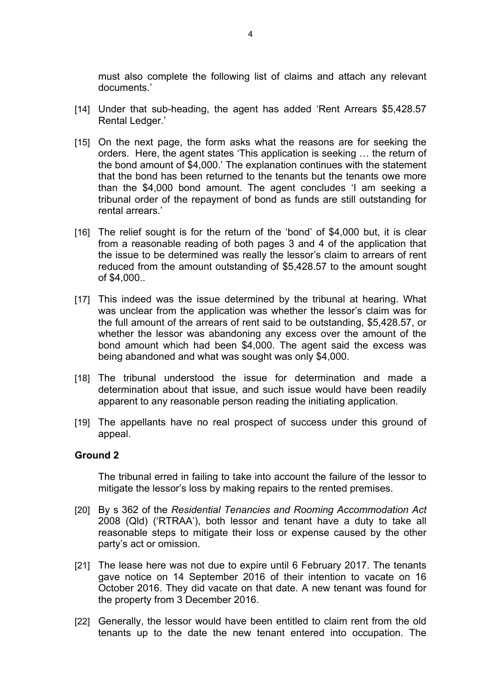must also complete the following list of claims and attach any relevant documents.'

- [14] Under that sub-heading, the agent has added 'Rent Arrears \$5,428.57 Rental Ledger.'
- [15] On the next page, the form asks what the reasons are for seeking the orders. Here, the agent states 'This application is seeking … the return of the bond amount of \$4,000.' The explanation continues with the statement that the bond has been returned to the tenants but the tenants owe more than the \$4,000 bond amount. The agent concludes 'I am seeking a tribunal order of the repayment of bond as funds are still outstanding for rental arrears.'
- [16] The relief sought is for the return of the 'bond' of \$4,000 but, it is clear from a reasonable reading of both pages 3 and 4 of the application that the issue to be determined was really the lessor's claim to arrears of rent reduced from the amount outstanding of \$5,428.57 to the amount sought of \$4,000..
- [17] This indeed was the issue determined by the tribunal at hearing. What was unclear from the application was whether the lessor's claim was for the full amount of the arrears of rent said to be outstanding, \$5,428.57, or whether the lessor was abandoning any excess over the amount of the bond amount which had been \$4,000. The agent said the excess was being abandoned and what was sought was only \$4,000.
- [18] The tribunal understood the issue for determination and made a determination about that issue, and such issue would have been readily apparent to any reasonable person reading the initiating application.
- [19] The appellants have no real prospect of success under this ground of appeal.

#### **Ground 2**

The tribunal erred in failing to take into account the failure of the lessor to mitigate the lessor's loss by making repairs to the rented premises.

- [20] By s 362 of the *Residential Tenancies and Rooming Accommodation Act*  2008 (Qld) ('RTRAA'), both lessor and tenant have a duty to take all reasonable steps to mitigate their loss or expense caused by the other party's act or omission.
- [21] The lease here was not due to expire until 6 February 2017. The tenants gave notice on 14 September 2016 of their intention to vacate on 16 October 2016. They did vacate on that date. A new tenant was found for the property from 3 December 2016.
- [22] Generally, the lessor would have been entitled to claim rent from the old tenants up to the date the new tenant entered into occupation. The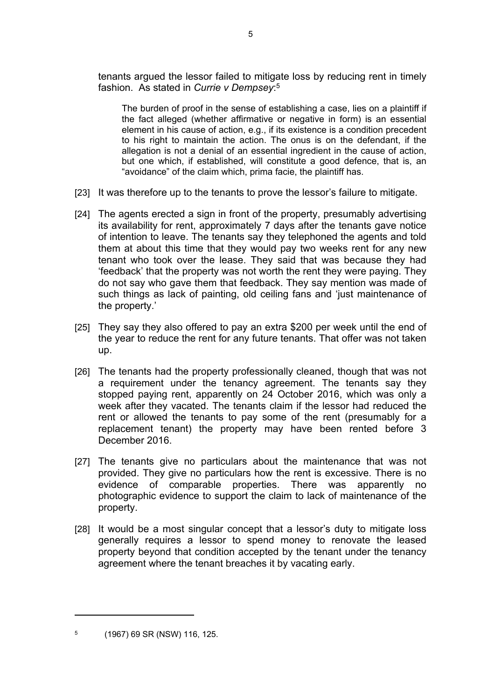tenants argued the lessor failed to mitigate loss by reducing rent in timely fashion. As stated in *Currie v Dempsey*: 5

The burden of proof in the sense of establishing a case, lies on a plaintiff if the fact alleged (whether affirmative or negative in form) is an essential element in his cause of action, e.g., if its existence is a condition precedent to his right to maintain the action. The onus is on the defendant, if the allegation is not a denial of an essential ingredient in the cause of action, but one which, if established, will constitute a good defence, that is, an "avoidance" of the claim which, prima facie, the plaintiff has.

- [23] It was therefore up to the tenants to prove the lessor's failure to mitigate.
- [24] The agents erected a sign in front of the property, presumably advertising its availability for rent, approximately 7 days after the tenants gave notice of intention to leave. The tenants say they telephoned the agents and told them at about this time that they would pay two weeks rent for any new tenant who took over the lease. They said that was because they had 'feedback' that the property was not worth the rent they were paying. They do not say who gave them that feedback. They say mention was made of such things as lack of painting, old ceiling fans and 'just maintenance of the property.'
- [25] They say they also offered to pay an extra \$200 per week until the end of the year to reduce the rent for any future tenants. That offer was not taken up.
- [26] The tenants had the property professionally cleaned, though that was not a requirement under the tenancy agreement. The tenants say they stopped paying rent, apparently on 24 October 2016, which was only a week after they vacated. The tenants claim if the lessor had reduced the rent or allowed the tenants to pay some of the rent (presumably for a replacement tenant) the property may have been rented before 3 December 2016.
- [27] The tenants give no particulars about the maintenance that was not provided. They give no particulars how the rent is excessive. There is no evidence of comparable properties. There was apparently no photographic evidence to support the claim to lack of maintenance of the property.
- [28] It would be a most singular concept that a lessor's duty to mitigate loss generally requires a lessor to spend money to renovate the leased property beyond that condition accepted by the tenant under the tenancy agreement where the tenant breaches it by vacating early.

<sup>5</sup> (1967) 69 SR (NSW) 116, 125.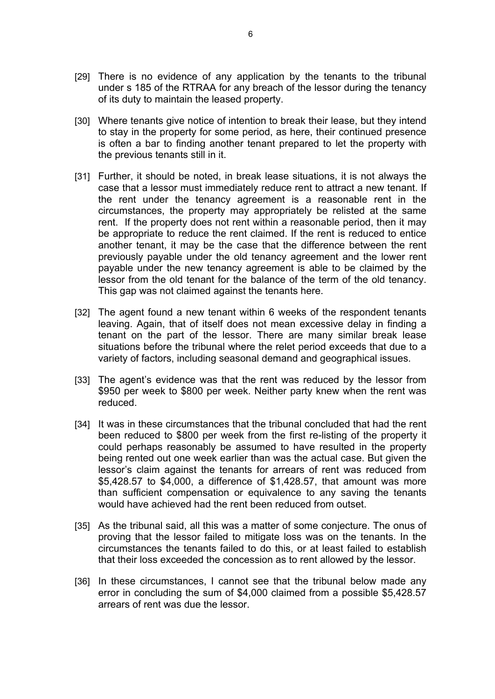- [29] There is no evidence of any application by the tenants to the tribunal under s 185 of the RTRAA for any breach of the lessor during the tenancy of its duty to maintain the leased property.
- [30] Where tenants give notice of intention to break their lease, but they intend to stay in the property for some period, as here, their continued presence is often a bar to finding another tenant prepared to let the property with the previous tenants still in it.
- [31] Further, it should be noted, in break lease situations, it is not always the case that a lessor must immediately reduce rent to attract a new tenant. If the rent under the tenancy agreement is a reasonable rent in the circumstances, the property may appropriately be relisted at the same rent. If the property does not rent within a reasonable period, then it may be appropriate to reduce the rent claimed. If the rent is reduced to entice another tenant, it may be the case that the difference between the rent previously payable under the old tenancy agreement and the lower rent payable under the new tenancy agreement is able to be claimed by the lessor from the old tenant for the balance of the term of the old tenancy. This gap was not claimed against the tenants here.
- [32] The agent found a new tenant within 6 weeks of the respondent tenants leaving. Again, that of itself does not mean excessive delay in finding a tenant on the part of the lessor. There are many similar break lease situations before the tribunal where the relet period exceeds that due to a variety of factors, including seasonal demand and geographical issues.
- [33] The agent's evidence was that the rent was reduced by the lessor from \$950 per week to \$800 per week. Neither party knew when the rent was reduced.
- [34] It was in these circumstances that the tribunal concluded that had the rent been reduced to \$800 per week from the first re-listing of the property it could perhaps reasonably be assumed to have resulted in the property being rented out one week earlier than was the actual case. But given the lessor's claim against the tenants for arrears of rent was reduced from \$5,428.57 to \$4,000, a difference of \$1,428.57, that amount was more than sufficient compensation or equivalence to any saving the tenants would have achieved had the rent been reduced from outset.
- [35] As the tribunal said, all this was a matter of some conjecture. The onus of proving that the lessor failed to mitigate loss was on the tenants. In the circumstances the tenants failed to do this, or at least failed to establish that their loss exceeded the concession as to rent allowed by the lessor.
- [36] In these circumstances, I cannot see that the tribunal below made any error in concluding the sum of \$4,000 claimed from a possible \$5,428.57 arrears of rent was due the lessor.